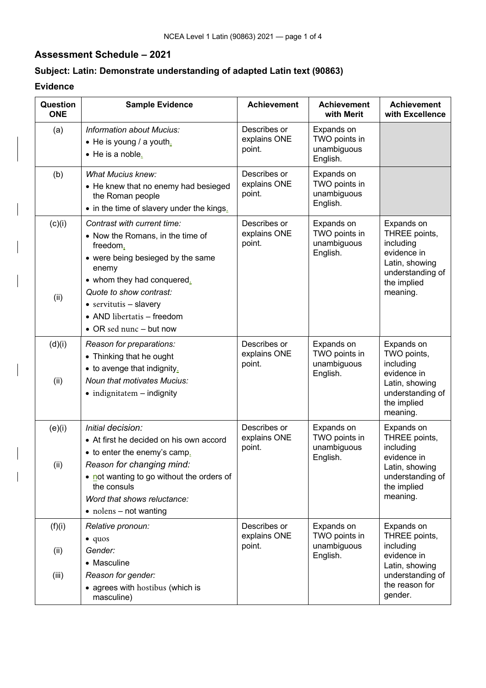## **Assessment Schedule – 2021**

## **Subject: Latin: Demonstrate understanding of adapted Latin text (90863)**

## **Evidence**

| Question<br><b>ONE</b>  | <b>Sample Evidence</b>                                                                                                                                                                                                                                                                | <b>Achievement</b>                     | <b>Achievement</b><br>with Merit                       | <b>Achievement</b><br>with Excellence                                                                                      |  |
|-------------------------|---------------------------------------------------------------------------------------------------------------------------------------------------------------------------------------------------------------------------------------------------------------------------------------|----------------------------------------|--------------------------------------------------------|----------------------------------------------------------------------------------------------------------------------------|--|
| (a)                     | <b>Information about Mucius:</b><br>$\bullet$ He is young / a youth.<br>• He is a noble.                                                                                                                                                                                              | Describes or<br>explains ONE<br>point. | Expands on<br>TWO points in<br>unambiguous<br>English. |                                                                                                                            |  |
| (b)                     | <b>What Mucius knew:</b><br>• He knew that no enemy had besieged<br>the Roman people<br>• in the time of slavery under the kings.                                                                                                                                                     | Describes or<br>explains ONE<br>point. | Expands on<br>TWO points in<br>unambiguous<br>English. |                                                                                                                            |  |
| (c)(i)<br>(ii)          | Contrast with current time:<br>• Now the Romans, in the time of<br>freedom,<br>• were being besieged by the same<br>enemy<br>• whom they had conquered.<br>Quote to show contrast:<br>$\bullet$ servitutis - slavery<br>• AND libertatis - freedom<br>$\bullet$ OR sed nunc – but now | Describes or<br>explains ONE<br>point. | Expands on<br>TWO points in<br>unambiguous<br>English. | Expands on<br>THREE points,<br>including<br>evidence in<br>Latin, showing<br>understanding of<br>the implied<br>meaning.   |  |
| (d)(i)<br>(ii)          | Reason for preparations:<br>• Thinking that he ought<br>• to avenge that indignity.<br><b>Noun that motivates Mucius:</b><br>$\bullet$ indignitatem $-$ indignity                                                                                                                     | Describes or<br>explains ONE<br>point. | Expands on<br>TWO points in<br>unambiguous<br>English. | Expands on<br>TWO points,<br>including<br>evidence in<br>Latin, showing<br>understanding of<br>the implied<br>meaning.     |  |
| (e)(i)<br>(ii)          | Initial decision:<br>• At first he decided on his own accord<br>• to enter the enemy's camp.<br>Reason for changing mind:<br>• not wanting to go without the orders of<br>the consuls<br>Word that shows reluctance:<br>$\bullet$ nolens – not wanting                                | Describes or<br>explains ONE<br>point. | Expands on<br>TWO points in<br>unambiguous<br>English. | Expands on<br>THREE points,<br>including<br>evidence in<br>Latin, showing<br>understanding of<br>the implied<br>meaning.   |  |
| (f)(i)<br>(ii)<br>(iii) | Relative pronoun:<br>$\bullet$ quos<br>Gender:<br>• Masculine<br>Reason for gender:<br>• agrees with hostibus (which is<br>masculine)                                                                                                                                                 | Describes or<br>explains ONE<br>point. | Expands on<br>TWO points in<br>unambiguous<br>English. | Expands on<br>THREE points,<br>including<br>evidence in<br>Latin, showing<br>understanding of<br>the reason for<br>gender. |  |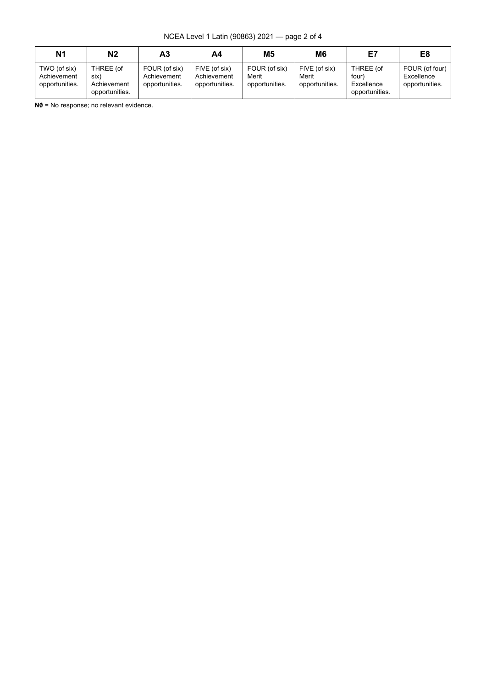NCEA Level 1 Latin (90863) 2021 — page 2 of 4

| N <sub>1</sub>                                | Ν2                                                 | А3                                             | Α4                                             | <b>M5</b>                                | M6                                       | E7                                                 | E8                                             |
|-----------------------------------------------|----------------------------------------------------|------------------------------------------------|------------------------------------------------|------------------------------------------|------------------------------------------|----------------------------------------------------|------------------------------------------------|
| TWO (of six)<br>Achievement<br>opportunities. | THREE (of<br>six)<br>Achievement<br>opportunities. | FOUR (of six)<br>Achievement<br>opportunities. | FIVE (of six)<br>Achievement<br>opportunities. | FOUR (of six)<br>Merit<br>opportunities. | FIVE (of six)<br>Merit<br>opportunities. | THREE (of<br>four)<br>Excellence<br>opportunities. | FOUR (of four)<br>Excellence<br>opportunities. |

**N0** = No response; no relevant evidence.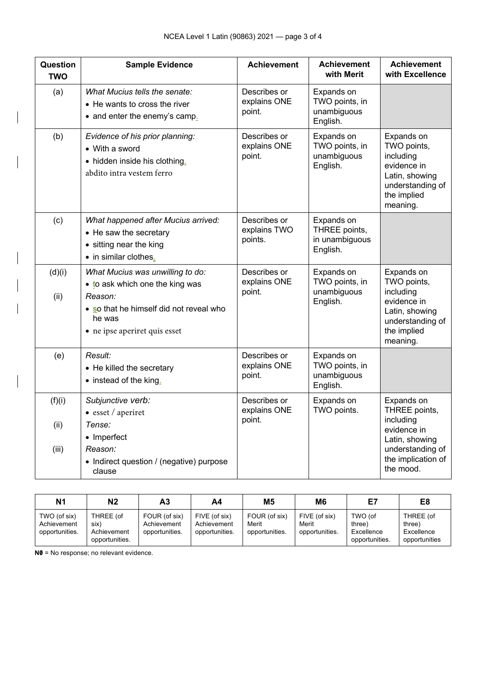| Question<br><b>TWO</b>  | <b>Sample Evidence</b>                                                                                                                                               | <b>Achievement</b>                      | <b>Achievement</b><br>with Merit                          | <b>Achievement</b><br>with Excellence                                                                                            |
|-------------------------|----------------------------------------------------------------------------------------------------------------------------------------------------------------------|-----------------------------------------|-----------------------------------------------------------|----------------------------------------------------------------------------------------------------------------------------------|
| (a)                     | What Mucius tells the senate:<br>• He wants to cross the river<br>• and enter the enemy's camp.                                                                      | Describes or<br>explains ONE<br>point.  | Expands on<br>TWO points, in<br>unambiguous<br>English.   |                                                                                                                                  |
| (b)                     | Evidence of his prior planning:<br>• With a sword<br>• hidden inside his clothing.<br>abdito intra vestem ferro                                                      | Describes or<br>explains ONE<br>point.  | Expands on<br>TWO points, in<br>unambiguous<br>English.   | Expands on<br>TWO points,<br>including<br>evidence in<br>Latin, showing<br>understanding of<br>the implied<br>meaning.           |
| (c)                     | What happened after Mucius arrived:<br>• He saw the secretary<br>• sitting near the king<br>• in similar clothes.                                                    | Describes or<br>explains TWO<br>points. | Expands on<br>THREE points,<br>in unambiguous<br>English. |                                                                                                                                  |
| (d)(i)<br>(ii)          | What Mucius was unwilling to do:<br>• to ask which one the king was<br>Reason:<br>• so that he himself did not reveal who<br>he was<br>• ne ipse aperiret quis esset | Describes or<br>explains ONE<br>point.  | Expands on<br>TWO points, in<br>unambiguous<br>English.   | Expands on<br>TWO points,<br>including<br>evidence in<br>Latin, showing<br>understanding of<br>the implied<br>meaning.           |
| (e)                     | Result:<br>• He killed the secretary<br>• instead of the king.                                                                                                       | Describes or<br>explains ONE<br>point.  | Expands on<br>TWO points, in<br>unambiguous<br>English.   |                                                                                                                                  |
| (f)(i)<br>(ii)<br>(iii) | Subjunctive verb:<br>$\bullet$ esset / aperiret<br>Tense:<br>• Imperfect<br>Reason:<br>• Indirect question / (negative) purpose<br>clause                            | Describes or<br>explains ONE<br>point.  | Expands on<br>TWO points.                                 | Expands on<br>THREE points,<br>including<br>evidence in<br>Latin, showing<br>understanding of<br>the implication of<br>the mood. |

| N <sub>1</sub>                                | N <sub>2</sub>                                     | А3                                             | A4                                             | M <sub>5</sub>                           | M <sub>6</sub>                           | E7                                                | E8                                                 |
|-----------------------------------------------|----------------------------------------------------|------------------------------------------------|------------------------------------------------|------------------------------------------|------------------------------------------|---------------------------------------------------|----------------------------------------------------|
| TWO (of six)<br>Achievement<br>opportunities. | THREE (of<br>six)<br>Achievement<br>opportunities. | FOUR (of six)<br>Achievement<br>opportunities. | FIVE (of six)<br>Achievement<br>opportunities. | FOUR (of six)<br>Merit<br>opportunities. | FIVE (of six)<br>Merit<br>opportunities. | TWO (of<br>three)<br>Excellence<br>opportunities. | THREE (of<br>three)<br>Excellence<br>opportunities |

**N0** = No response; no relevant evidence.